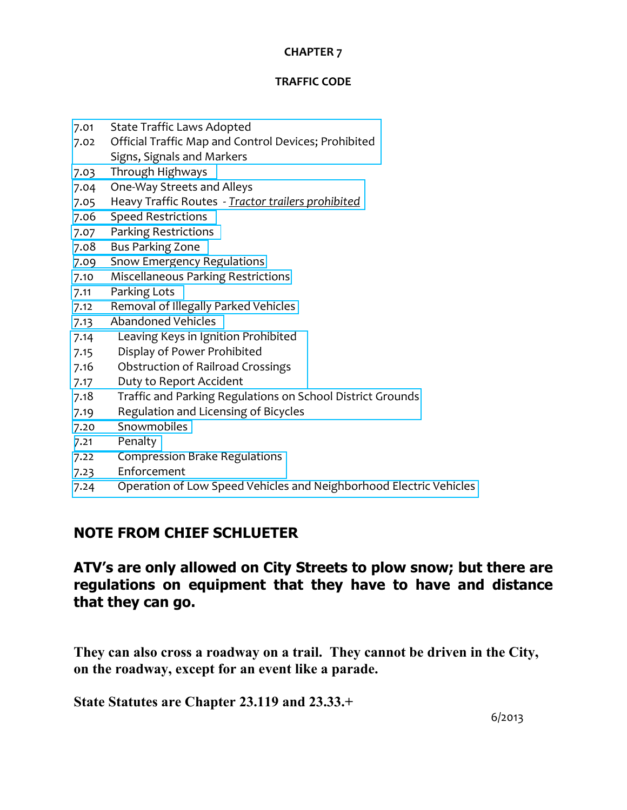#### **CHAPTER 7**

#### **TRAFFIC CODE**

- 7.01 State Traffic Laws Adopted
- 7.02 Official Traffic Map and Control Devices; [Prohibited](#page-1-0) Signs, Signals and Markers
- 7.03 Through [Highways](#page-2-0)
- 7.04 One‐Way Streets and Alleys
- 7.05 Heavy Traffic Routes ‐ *Tractor trailers [prohibited](#page-4-0)*
- 7.06 Speed [Restrictions](#page-6-0)
- 7.07 Parking [Restrictions](#page-7-0)
- 7.08 Bus [Parking](#page-11-0) Zone
- 7.09 Snow Emergency [Regulations](#page-12-0)
- 7.10 [Miscellaneous](#page-14-0) Parking Restrictions
- 7.11 [Parking](#page-15-0) Lots
- 7.12 [Removal](#page-16-0) of Illegally Parked Vehicles
- 7.13 [Abandoned](#page-17-0) Vehicles
- 7.14 Leaving Keys in Ignition Prohibited
- 7.15 Display of Power Prohibited
- 7.16 [Obstruction](#page-19-0) of Railroad Crossings
- 7.17 Duty to Report Accident
- 7.18 Traffic and Parking [Regulations](#page-20-0) on School District Grounds
- 7.19 Regulation and Licensing of Bicycles
- 7.20 [Snowmobiles](#page-23-0)
- 7.21 [Penalty](#page-25-0)
- 7.22 Compression Brake Regulations
- 7.23 [Enforcement](#page-26-0)
- 7.24 Operation of Low Speed Vehicles and [Neighborhood](#page-29-0) Electric Vehicles

# **NOTE FROM CHIEF SCHLUETER**

# **ATV's are only allowed on City Streets to plow snow; but there are regulations on equipment that they have to have and distance that they can go.**

**They can also cross a roadway on a trail. They cannot be driven in the City, on the roadway, except for an event like a parade.** 

**State Statutes are Chapter 23.119 and 23.33.+**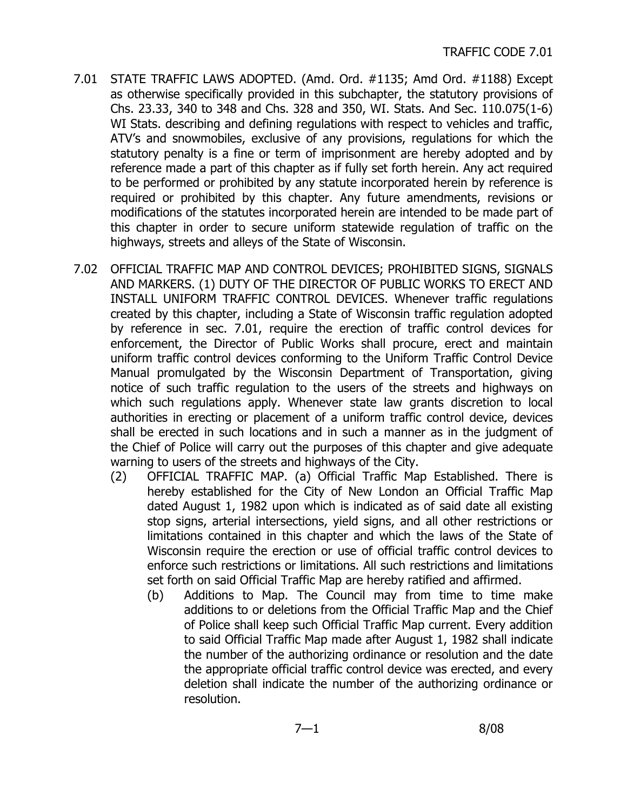- <span id="page-1-0"></span>7.01 STATE TRAFFIC LAWS ADOPTED. (Amd. Ord. #1135; Amd Ord. #1188) Except as otherwise specifically provided in this subchapter, the statutory provisions of Chs. 23.33, 340 to 348 and Chs. 328 and 350, WI. Stats. And Sec. 110.075(1-6) WI Stats. describing and defining regulations with respect to vehicles and traffic, ATV's and snowmobiles, exclusive of any provisions, regulations for which the statutory penalty is a fine or term of imprisonment are hereby adopted and by reference made a part of this chapter as if fully set forth herein. Any act required to be performed or prohibited by any statute incorporated herein by reference is required or prohibited by this chapter. Any future amendments, revisions or modifications of the statutes incorporated herein are intended to be made part of this chapter in order to secure uniform statewide regulation of traffic on the highways, streets and alleys of the State of Wisconsin.
- 7.02 OFFICIAL TRAFFIC MAP AND CONTROL DEVICES; PROHIBITED SIGNS, SIGNALS AND MARKERS. (1) DUTY OF THE DIRECTOR OF PUBLIC WORKS TO ERECT AND INSTALL UNIFORM TRAFFIC CONTROL DEVICES. Whenever traffic regulations created by this chapter, including a State of Wisconsin traffic regulation adopted by reference in sec. 7.01, require the erection of traffic control devices for enforcement, the Director of Public Works shall procure, erect and maintain uniform traffic control devices conforming to the Uniform Traffic Control Device Manual promulgated by the Wisconsin Department of Transportation, giving notice of such traffic regulation to the users of the streets and highways on which such regulations apply. Whenever state law grants discretion to local authorities in erecting or placement of a uniform traffic control device, devices shall be erected in such locations and in such a manner as in the judgment of the Chief of Police will carry out the purposes of this chapter and give adequate warning to users of the streets and highways of the City.
	- (2) OFFICIAL TRAFFIC MAP. (a) Official Traffic Map Established. There is hereby established for the City of New London an Official Traffic Map dated August 1, 1982 upon which is indicated as of said date all existing stop signs, arterial intersections, yield signs, and all other restrictions or limitations contained in this chapter and which the laws of the State of Wisconsin require the erection or use of official traffic control devices to enforce such restrictions or limitations. All such restrictions and limitations set forth on said Official Traffic Map are hereby ratified and affirmed.
		- (b) Additions to Map. The Council may from time to time make additions to or deletions from the Official Traffic Map and the Chief of Police shall keep such Official Traffic Map current. Every addition to said Official Traffic Map made after August 1, 1982 shall indicate the number of the authorizing ordinance or resolution and the date the appropriate official traffic control device was erected, and every deletion shall indicate the number of the authorizing ordinance or resolution.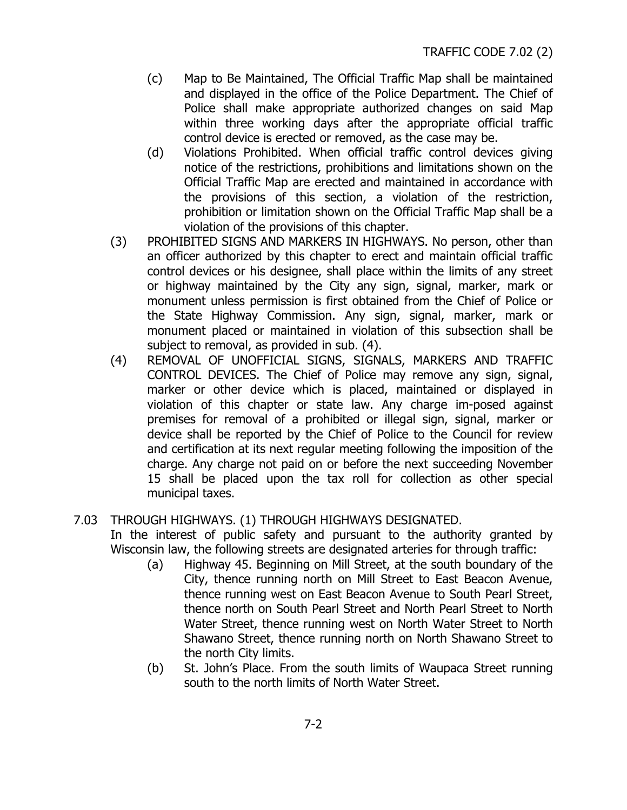- <span id="page-2-0"></span>(c) Map to Be Maintained, The Official Traffic Map shall be maintained and displayed in the office of the Police Department. The Chief of Police shall make appropriate authorized changes on said Map within three working days after the appropriate official traffic control device is erected or removed, as the case may be.
- (d) Violations Prohibited. When official traffic control devices giving notice of the restrictions, prohibitions and limitations shown on the Official Traffic Map are erected and maintained in accordance with the provisions of this section, a violation of the restriction, prohibition or limitation shown on the Official Traffic Map shall be a violation of the provisions of this chapter.
- (3) PROHIBITED SIGNS AND MARKERS IN HIGHWAYS. No person, other than an officer authorized by this chapter to erect and maintain official traffic control devices or his designee, shall place within the limits of any street or highway maintained by the City any sign, signal, marker, mark or monument unless permission is first obtained from the Chief of Police or the State Highway Commission. Any sign, signal, marker, mark or monument placed or maintained in violation of this subsection shall be subject to removal, as provided in sub. (4).
- (4) REMOVAL OF UNOFFICIAL SIGNS, SIGNALS, MARKERS AND TRAFFIC CONTROL DEVICES. The Chief of Police may remove any sign, signal, marker or other device which is placed, maintained or displayed in violation of this chapter or state law. Any charge im-posed against premises for removal of a prohibited or illegal sign, signal, marker or device shall be reported by the Chief of Police to the Council for review and certification at its next regular meeting following the imposition of the charge. Any charge not paid on or before the next succeeding November 15 shall be placed upon the tax roll for collection as other special municipal taxes.

### 7.03 THROUGH HIGHWAYS. (1) THROUGH HIGHWAYS DESIGNATED.

In the interest of public safety and pursuant to the authority granted by Wisconsin law, the following streets are designated arteries for through traffic:

- (a) Highway 45. Beginning on Mill Street, at the south boundary of the City, thence running north on Mill Street to East Beacon Avenue, thence running west on East Beacon Avenue to South Pearl Street, thence north on South Pearl Street and North Pearl Street to North Water Street, thence running west on North Water Street to North Shawano Street, thence running north on North Shawano Street to the north City limits.
- (b) St. John's Place. From the south limits of Waupaca Street running south to the north limits of North Water Street.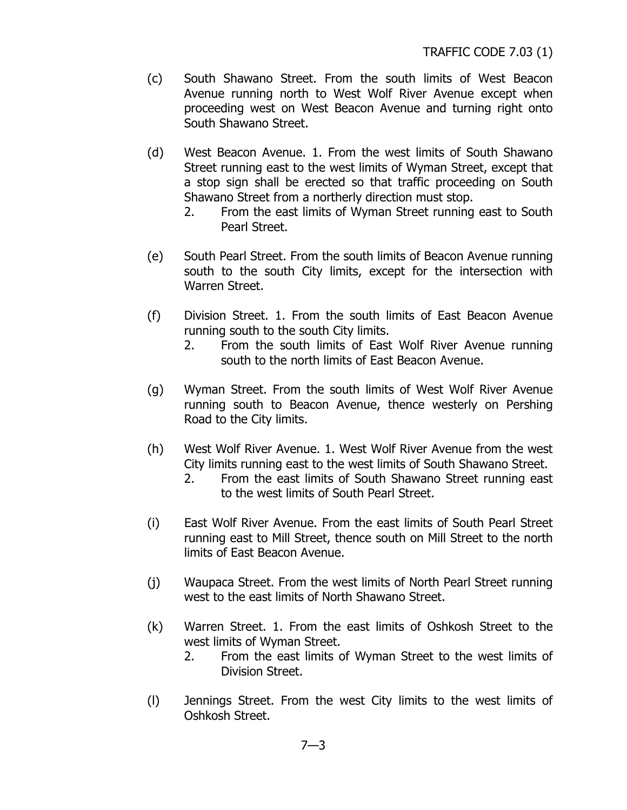- (c) South Shawano Street. From the south limits of West Beacon Avenue running north to West Wolf River Avenue except when proceeding west on West Beacon Avenue and turning right onto South Shawano Street.
- (d) West Beacon Avenue. 1. From the west limits of South Shawano Street running east to the west limits of Wyman Street, except that a stop sign shall be erected so that traffic proceeding on South Shawano Street from a northerly direction must stop.
	- 2. From the east limits of Wyman Street running east to South Pearl Street.
- (e) South Pearl Street. From the south limits of Beacon Avenue running south to the south City limits, except for the intersection with Warren Street.
- (f) Division Street. 1. From the south limits of East Beacon Avenue running south to the south City limits.
	- 2. From the south limits of East Wolf River Avenue running south to the north limits of East Beacon Avenue.
- (g) Wyman Street. From the south limits of West Wolf River Avenue running south to Beacon Avenue, thence westerly on Pershing Road to the City limits.
- (h) West Wolf River Avenue. 1. West Wolf River Avenue from the west City limits running east to the west limits of South Shawano Street.
	- 2. From the east limits of South Shawano Street running east to the west limits of South Pearl Street.
- (i) East Wolf River Avenue. From the east limits of South Pearl Street running east to Mill Street, thence south on Mill Street to the north limits of East Beacon Avenue.
- (j) Waupaca Street. From the west limits of North Pearl Street running west to the east limits of North Shawano Street.
- (k) Warren Street. 1. From the east limits of Oshkosh Street to the west limits of Wyman Street.
	- 2. From the east limits of Wyman Street to the west limits of Division Street.
- (l) Jennings Street. From the west City limits to the west limits of Oshkosh Street.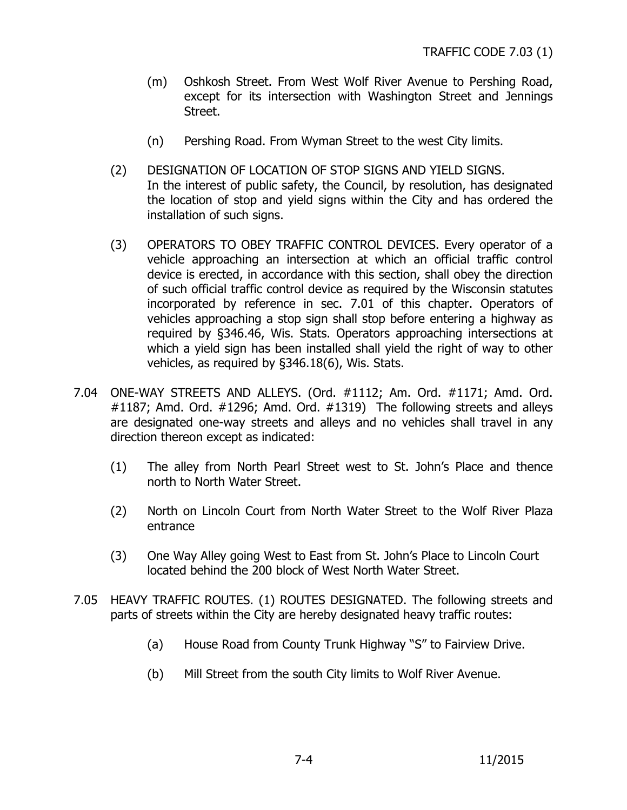- <span id="page-4-0"></span>(m) Oshkosh Street. From West Wolf River Avenue to Pershing Road, except for its intersection with Washington Street and Jennings Street.
- (n) Pershing Road. From Wyman Street to the west City limits.
- (2) DESIGNATION OF LOCATION OF STOP SIGNS AND YIELD SIGNS. In the interest of public safety, the Council, by resolution, has designated the location of stop and yield signs within the City and has ordered the installation of such signs.
- (3) OPERATORS TO OBEY TRAFFIC CONTROL DEVICES. Every operator of a vehicle approaching an intersection at which an official traffic control device is erected, in accordance with this section, shall obey the direction of such official traffic control device as required by the Wisconsin statutes incorporated by reference in sec. 7.01 of this chapter. Operators of vehicles approaching a stop sign shall stop before entering a highway as required by §346.46, Wis. Stats. Operators approaching intersections at which a yield sign has been installed shall yield the right of way to other vehicles, as required by §346.18(6), Wis. Stats.
- 7.04 ONE-WAY STREETS AND ALLEYS. (Ord. #1112; Am. Ord. #1171; Amd. Ord. #1187; Amd. Ord. #1296; Amd. Ord. #1319) The following streets and alleys are designated one-way streets and alleys and no vehicles shall travel in any direction thereon except as indicated:
	- (1) The alley from North Pearl Street west to St. John's Place and thence north to North Water Street.
	- (2) North on Lincoln Court from North Water Street to the Wolf River Plaza entrance
	- (3) One Way Alley going West to East from St. John's Place to Lincoln Court located behind the 200 block of West North Water Street.
- 7.05 HEAVY TRAFFIC ROUTES. (1) ROUTES DESIGNATED. The following streets and parts of streets within the City are hereby designated heavy traffic routes:
	- (a) House Road from County Trunk Highway "S" to Fairview Drive.
	- (b) Mill Street from the south City limits to Wolf River Avenue.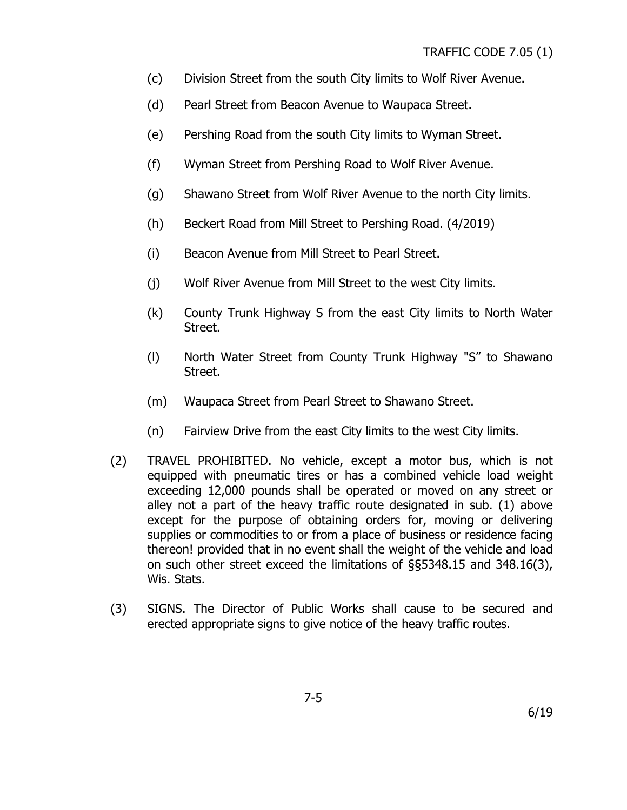- (c) Division Street from the south City limits to Wolf River Avenue.
- (d) Pearl Street from Beacon Avenue to Waupaca Street.
- (e) Pershing Road from the south City limits to Wyman Street.
- (f) Wyman Street from Pershing Road to Wolf River Avenue.
- (g) Shawano Street from Wolf River Avenue to the north City limits.
- (h) Beckert Road from Mill Street to Pershing Road. (4/2019)
- (i) Beacon Avenue from Mill Street to Pearl Street.
- (j) Wolf River Avenue from Mill Street to the west City limits.
- (k) County Trunk Highway S from the east City limits to North Water Street.
- (l) North Water Street from County Trunk Highway "S" to Shawano Street.
- (m) Waupaca Street from Pearl Street to Shawano Street.
- (n) Fairview Drive from the east City limits to the west City limits.
- (2) TRAVEL PROHIBITED. No vehicle, except a motor bus, which is not equipped with pneumatic tires or has a combined vehicle load weight exceeding 12,000 pounds shall be operated or moved on any street or alley not a part of the heavy traffic route designated in sub. (1) above except for the purpose of obtaining orders for, moving or delivering supplies or commodities to or from a place of business or residence facing thereon! provided that in no event shall the weight of the vehicle and load on such other street exceed the limitations of §§5348.15 and 348.16(3), Wis. Stats.
- (3) SIGNS. The Director of Public Works shall cause to be secured and erected appropriate signs to give notice of the heavy traffic routes.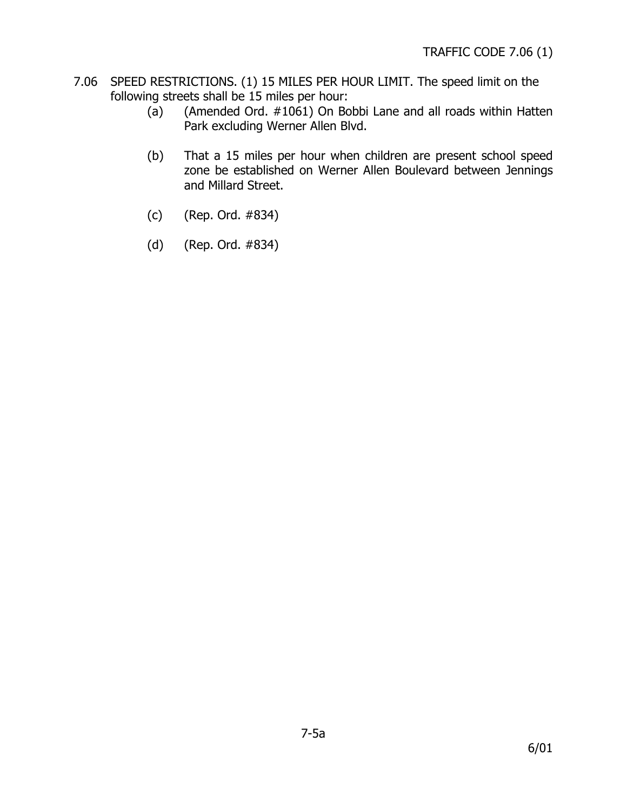- <span id="page-6-0"></span>7.06 SPEED RESTRICTIONS. (1) 15 MILES PER HOUR LIMIT. The speed limit on the following streets shall be 15 miles per hour:
	- (a) (Amended Ord. #1061) On Bobbi Lane and all roads within Hatten Park excluding Werner Allen Blvd.
	- (b) That a 15 miles per hour when children are present school speed zone be established on Werner Allen Boulevard between Jennings and Millard Street.
	- (c) (Rep. Ord. #834)
	- (d) (Rep. Ord. #834)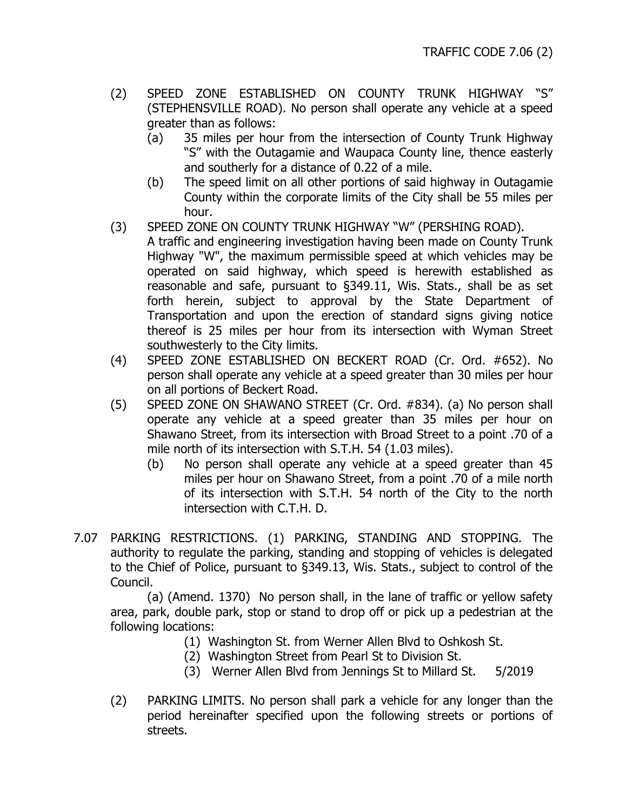- <span id="page-7-0"></span>(2) SPEED ZONE ESTABLISHED ON COUNTY TRUNK HIGHWAY "S" (STEPHENSVILLE ROAD). No person shall operate any vehicle at a speed greater than as follows:
	- (a) 35 miles per hour from the intersection of County Trunk Highway "S" with the Outagamie and Waupaca County line, thence easterly and southerly for a distance of 0.22 of a mile.
	- (b) The speed limit on all other portions of said highway in Outagamie County within the corporate limits of the City shall be 55 miles per hour.
- (3) SPEED ZONE ON COUNTY TRUNK HIGHWAY "W" (PERSHING ROAD).
	- A traffic and engineering investigation having been made on County Trunk Highway "W", the maximum permissible speed at which vehicles may be operated on said highway, which speed is herewith established as reasonable and safe, pursuant to §349.11, Wis. Stats., shall be as set forth herein, subject to approval by the State Department of Transportation and upon the erection of standard signs giving notice thereof is 25 miles per hour from its intersection with Wyman Street southwesterly to the City limits.
- (4) SPEED ZONE ESTABLISHED ON BECKERT ROAD (Cr. Ord. #652). No person shall operate any vehicle at a speed greater than 30 miles per hour on all portions of Beckert Road.
- (5) SPEED ZONE ON SHAWANO STREET (Cr. Ord. #834). (a) No person shall operate any vehicle at a speed greater than 35 miles per hour on Shawano Street, from its intersection with Broad Street to a point .70 of a mile north of its intersection with S.T.H. 54 (1.03 miles).
	- (b) No person shall operate any vehicle at a speed greater than 45 miles per hour on Shawano Street, from a point .70 of a mile north of its intersection with S.T.H. 54 north of the City to the north intersection with C.T.H. D.
- 7.07 PARKING RESTRICTIONS. (1) PARKING, STANDING AND STOPPING. The authority to regulate the parking, standing and stopping of vehicles is delegated to the Chief of Police, pursuant to §349.13, Wis. Stats., subject to control of the Council.

 (a) (Amend. 1370) No person shall, in the lane of traffic or yellow safety area, park, double park, stop or stand to drop off or pick up a pedestrian at the following locations:

- (1) Washington St. from Werner Allen Blvd to Oshkosh St.
- (2) Washington Street from Pearl St to Division St.
- (3) Werner Allen Blvd from Jennings St to Millard St. 5/2019
- (2) PARKING LIMITS. No person shall park a vehicle for any longer than the period hereinafter specified upon the following streets or portions of streets.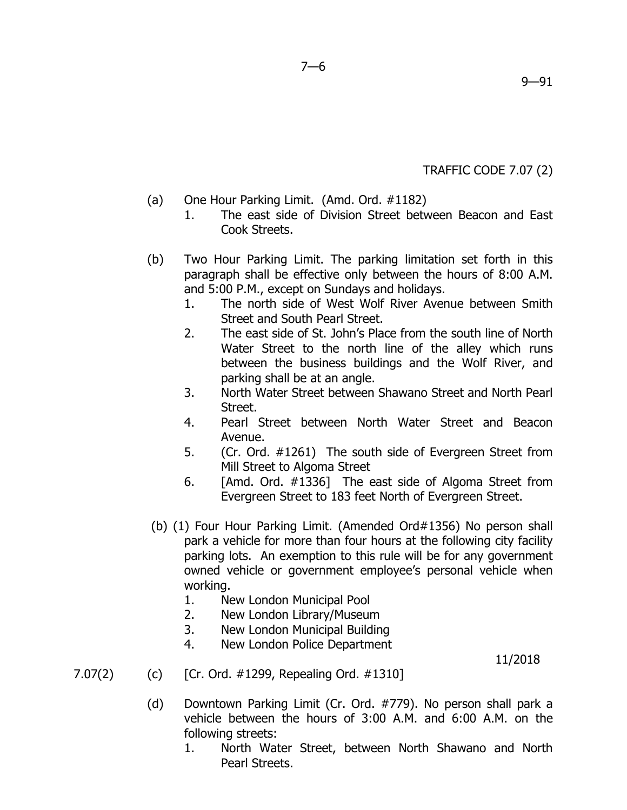TRAFFIC CODE 7.07 (2)

- (a) One Hour Parking Limit. (Amd. Ord. #1182)
	- 1. The east side of Division Street between Beacon and East Cook Streets.
- (b) Two Hour Parking Limit. The parking limitation set forth in this paragraph shall be effective only between the hours of 8:00 A.M. and 5:00 P.M., except on Sundays and holidays.
	- 1. The north side of West Wolf River Avenue between Smith Street and South Pearl Street.
	- 2. The east side of St. John's Place from the south line of North Water Street to the north line of the alley which runs between the business buildings and the Wolf River, and parking shall be at an angle.
	- 3. North Water Street between Shawano Street and North Pearl Street.
	- 4. Pearl Street between North Water Street and Beacon Avenue.
	- 5. (Cr. Ord. #1261) The south side of Evergreen Street from Mill Street to Algoma Street
	- 6. [Amd. Ord. #1336] The east side of Algoma Street from Evergreen Street to 183 feet North of Evergreen Street.
- (b) (1) Four Hour Parking Limit. (Amended Ord#1356) No person shall park a vehicle for more than four hours at the following city facility parking lots. An exemption to this rule will be for any government owned vehicle or government employee's personal vehicle when working.
	- 1. New London Municipal Pool
	- 2. New London Library/Museum
	- 3. New London Municipal Building
	- 4. New London Police Department

### 11/2018

- 7.07(2) (c) [Cr. Ord. #1299, Repealing Ord. #1310]
	- (d) Downtown Parking Limit (Cr. Ord. #779). No person shall park a vehicle between the hours of 3:00 A.M. and 6:00 A.M. on the following streets:
		- 1. North Water Street, between North Shawano and North Pearl Streets.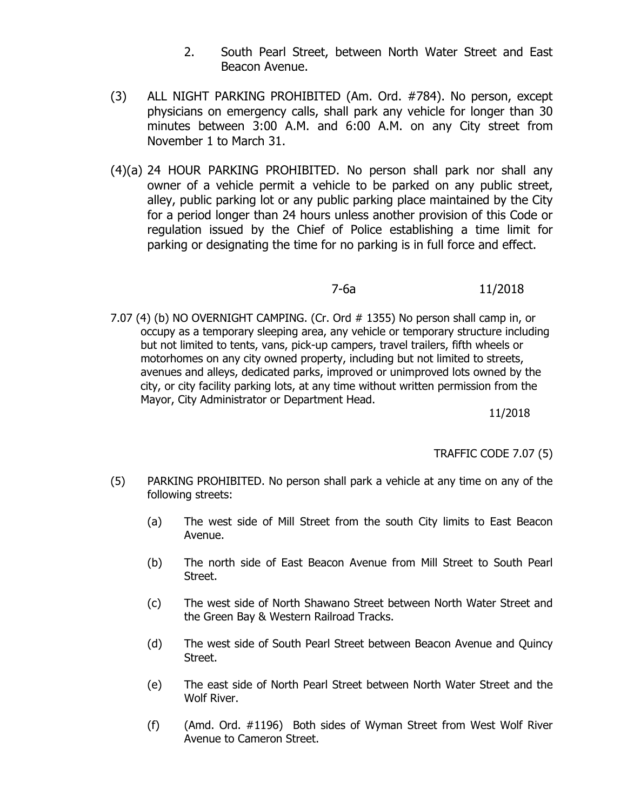- 2. South Pearl Street, between North Water Street and East Beacon Avenue.
- (3) ALL NIGHT PARKING PROHIBITED (Am. Ord. #784). No person, except physicians on emergency calls, shall park any vehicle for longer than 30 minutes between 3:00 A.M. and 6:00 A.M. on any City street from November 1 to March 31.
- (4)(a) 24 HOUR PARKING PROHIBITED. No person shall park nor shall any owner of a vehicle permit a vehicle to be parked on any public street, alley, public parking lot or any public parking place maintained by the City for a period longer than 24 hours unless another provision of this Code or regulation issued by the Chief of Police establishing a time limit for parking or designating the time for no parking is in full force and effect.

### 7-6a 11/2018

 7.07 (4) (b) NO OVERNIGHT CAMPING. (Cr. Ord # 1355) No person shall camp in, or occupy as a temporary sleeping area, any vehicle or temporary structure including but not limited to tents, vans, pick-up campers, travel trailers, fifth wheels or motorhomes on any city owned property, including but not limited to streets, avenues and alleys, dedicated parks, improved or unimproved lots owned by the city, or city facility parking lots, at any time without written permission from the Mayor, City Administrator or Department Head.

11/2018

TRAFFIC CODE 7.07 (5)

- (5) PARKING PROHIBITED. No person shall park a vehicle at any time on any of the following streets:
	- (a) The west side of Mill Street from the south City limits to East Beacon Avenue.
	- (b) The north side of East Beacon Avenue from Mill Street to South Pearl Street.
	- (c) The west side of North Shawano Street between North Water Street and the Green Bay & Western Railroad Tracks.
	- (d) The west side of South Pearl Street between Beacon Avenue and Quincy Street.
	- (e) The east side of North Pearl Street between North Water Street and the Wolf River.
	- (f) (Amd. Ord. #1196) Both sides of Wyman Street from West Wolf River Avenue to Cameron Street.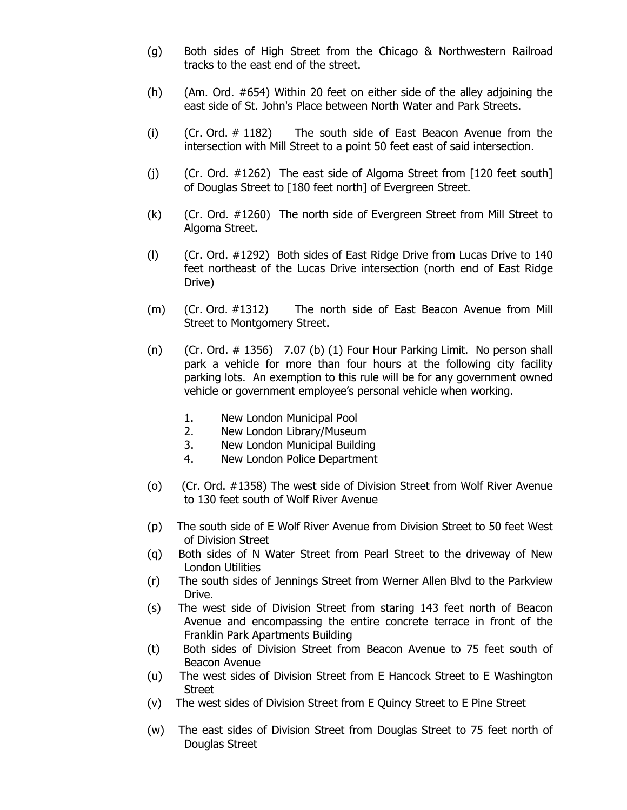- (g) Both sides of High Street from the Chicago & Northwestern Railroad tracks to the east end of the street.
- (h) (Am. Ord. #654) Within 20 feet on either side of the alley adjoining the east side of St. John's Place between North Water and Park Streets.
- (i) (Cr. Ord. # 1182) The south side of East Beacon Avenue from the intersection with Mill Street to a point 50 feet east of said intersection.
- (j) (Cr. Ord. #1262) The east side of Algoma Street from [120 feet south] of Douglas Street to [180 feet north] of Evergreen Street.
- (k) (Cr. Ord. #1260) The north side of Evergreen Street from Mill Street to Algoma Street.
- (l) (Cr. Ord. #1292) Both sides of East Ridge Drive from Lucas Drive to 140 feet northeast of the Lucas Drive intersection (north end of East Ridge Drive)
- (m) (Cr. Ord. #1312) The north side of East Beacon Avenue from Mill Street to Montgomery Street.
- (n)  $(Cr. 0rd. # 1356)$  7.07 (b) (1) Four Hour Parking Limit. No person shall park a vehicle for more than four hours at the following city facility parking lots. An exemption to this rule will be for any government owned vehicle or government employee's personal vehicle when working.
	- 1. New London Municipal Pool
	- 2. New London Library/Museum
	- 3. New London Municipal Building
	- 4. New London Police Department
- (o) (Cr. Ord. #1358) The west side of Division Street from Wolf River Avenue to 130 feet south of Wolf River Avenue
- (p) The south side of E Wolf River Avenue from Division Street to 50 feet West of Division Street
- (q) Both sides of N Water Street from Pearl Street to the driveway of New London Utilities
- (r) The south sides of Jennings Street from Werner Allen Blvd to the Parkview Drive.
- (s) The west side of Division Street from staring 143 feet north of Beacon Avenue and encompassing the entire concrete terrace in front of the Franklin Park Apartments Building
- (t) Both sides of Division Street from Beacon Avenue to 75 feet south of Beacon Avenue
- (u) The west sides of Division Street from E Hancock Street to E Washington **Street**
- (v) The west sides of Division Street from E Quincy Street to E Pine Street
- (w) The east sides of Division Street from Douglas Street to 75 feet north of Douglas Street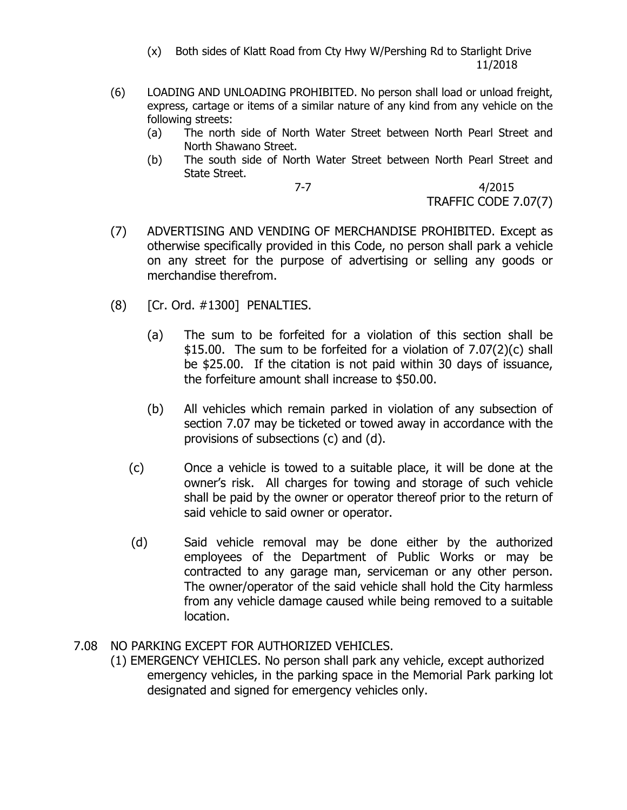(x) Both sides of Klatt Road from Cty Hwy W/Pershing Rd to Starlight Drive 11/2018

- <span id="page-11-0"></span>(6) LOADING AND UNLOADING PROHIBITED. No person shall load or unload freight, express, cartage or items of a similar nature of any kind from any vehicle on the following streets:
	- (a) The north side of North Water Street between North Pearl Street and North Shawano Street.
	- (b) The south side of North Water Street between North Pearl Street and State Street.

7-7 4/2015 TRAFFIC CODE 7.07(7)

- (7) ADVERTISING AND VENDING OF MERCHANDISE PROHIBITED. Except as otherwise specifically provided in this Code, no person shall park a vehicle on any street for the purpose of advertising or selling any goods or merchandise therefrom.
- (8) [Cr. Ord. #1300] PENALTIES.
	- (a) The sum to be forfeited for a violation of this section shall be \$15.00. The sum to be forfeited for a violation of 7.07(2)(c) shall be \$25.00. If the citation is not paid within 30 days of issuance, the forfeiture amount shall increase to \$50.00.
	- (b) All vehicles which remain parked in violation of any subsection of section 7.07 may be ticketed or towed away in accordance with the provisions of subsections (c) and (d).
	- (c) Once a vehicle is towed to a suitable place, it will be done at the owner's risk. All charges for towing and storage of such vehicle shall be paid by the owner or operator thereof prior to the return of said vehicle to said owner or operator.
	- (d) Said vehicle removal may be done either by the authorized employees of the Department of Public Works or may be contracted to any garage man, serviceman or any other person. The owner/operator of the said vehicle shall hold the City harmless from any vehicle damage caused while being removed to a suitable location.

### 7.08 NO PARKING EXCEPT FOR AUTHORIZED VEHICLES.

(1) EMERGENCY VEHICLES. No person shall park any vehicle, except authorized emergency vehicles, in the parking space in the Memorial Park parking lot designated and signed for emergency vehicles only.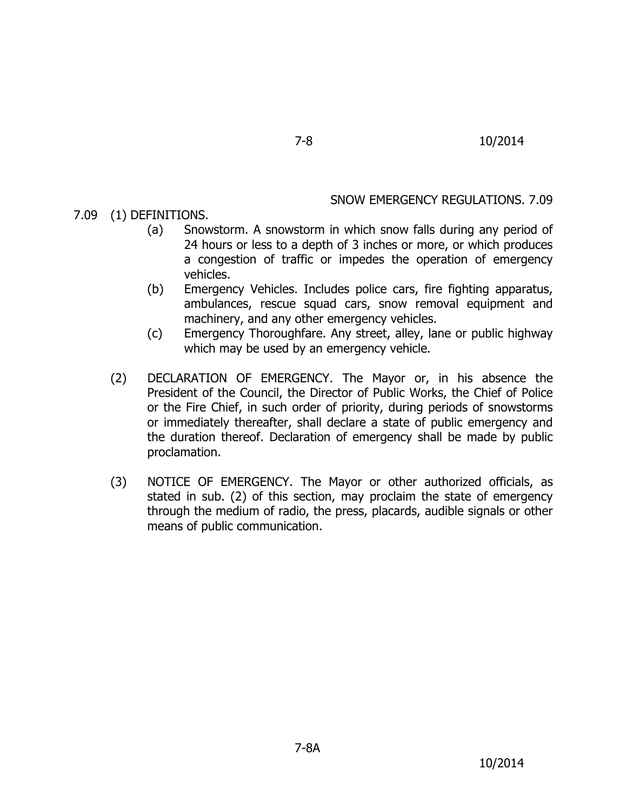#### SNOW EMERGENCY REGULATIONS. 7.09

<span id="page-12-0"></span>7.09 (1) DEFINITIONS.

- (a) Snowstorm. A snowstorm in which snow falls during any period of 24 hours or less to a depth of 3 inches or more, or which produces a congestion of traffic or impedes the operation of emergency vehicles.
- (b) Emergency Vehicles. Includes police cars, fire fighting apparatus, ambulances, rescue squad cars, snow removal equipment and machinery, and any other emergency vehicles.
- (c) Emergency Thoroughfare. Any street, alley, lane or public highway which may be used by an emergency vehicle.
- (2) DECLARATION OF EMERGENCY. The Mayor or, in his absence the President of the Council, the Director of Public Works, the Chief of Police or the Fire Chief, in such order of priority, during periods of snowstorms or immediately thereafter, shall declare a state of public emergency and the duration thereof. Declaration of emergency shall be made by public proclamation.
- (3) NOTICE OF EMERGENCY. The Mayor or other authorized officials, as stated in sub. (2) of this section, may proclaim the state of emergency through the medium of radio, the press, placards, audible signals or other means of public communication.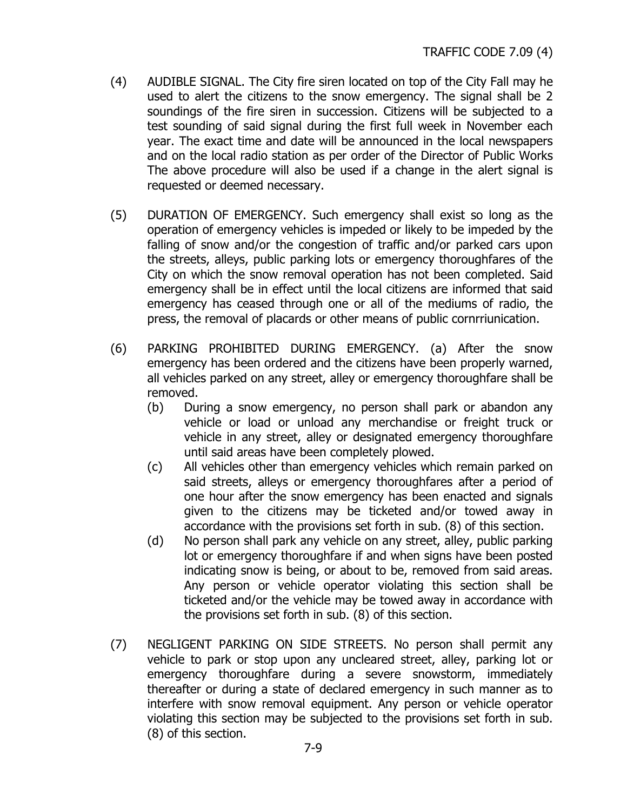- (4) AUDIBLE SIGNAL. The City fire siren located on top of the City Fall may he used to alert the citizens to the snow emergency. The signal shall be 2 soundings of the fire siren in succession. Citizens will be subjected to a test sounding of said signal during the first full week in November each year. The exact time and date will be announced in the local newspapers and on the local radio station as per order of the Director of Public Works The above procedure will also be used if a change in the alert signal is requested or deemed necessary.
- (5) DURATION OF EMERGENCY. Such emergency shall exist so long as the operation of emergency vehicles is impeded or likely to be impeded by the falling of snow and/or the congestion of traffic and/or parked cars upon the streets, alleys, public parking lots or emergency thoroughfares of the City on which the snow removal operation has not been completed. Said emergency shall be in effect until the local citizens are informed that said emergency has ceased through one or all of the mediums of radio, the press, the removal of placards or other means of public cornrriunication.
- (6) PARKING PROHIBITED DURING EMERGENCY. (a) After the snow emergency has been ordered and the citizens have been properly warned, all vehicles parked on any street, alley or emergency thoroughfare shall be removed.
	- (b) During a snow emergency, no person shall park or abandon any vehicle or load or unload any merchandise or freight truck or vehicle in any street, alley or designated emergency thoroughfare until said areas have been completely plowed.
	- (c) All vehicles other than emergency vehicles which remain parked on said streets, alleys or emergency thoroughfares after a period of one hour after the snow emergency has been enacted and signals given to the citizens may be ticketed and/or towed away in accordance with the provisions set forth in sub. (8) of this section.
	- (d) No person shall park any vehicle on any street, alley, public parking lot or emergency thoroughfare if and when signs have been posted indicating snow is being, or about to be, removed from said areas. Any person or vehicle operator violating this section shall be ticketed and/or the vehicle may be towed away in accordance with the provisions set forth in sub. (8) of this section.
- (7) NEGLIGENT PARKING ON SIDE STREETS. No person shall permit any vehicle to park or stop upon any uncleared street, alley, parking lot or emergency thoroughfare during a severe snowstorm, immediately thereafter or during a state of declared emergency in such manner as to interfere with snow removal equipment. Any person or vehicle operator violating this section may be subjected to the provisions set forth in sub. (8) of this section.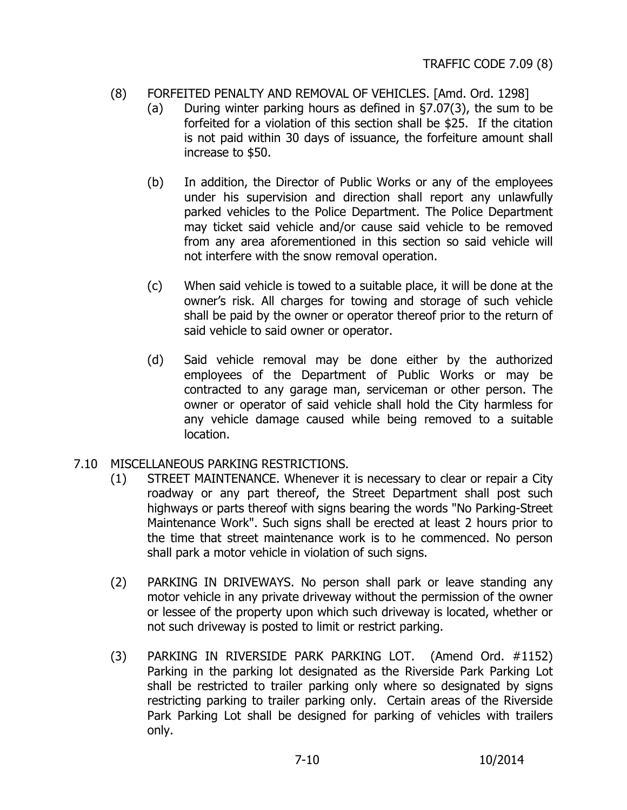### <span id="page-14-0"></span>(8) FORFEITED PENALTY AND REMOVAL OF VEHICLES. [Amd. Ord. 1298]

- (a) During winter parking hours as defined in §7.07(3), the sum to be forfeited for a violation of this section shall be \$25. If the citation is not paid within 30 days of issuance, the forfeiture amount shall increase to \$50.
- (b) In addition, the Director of Public Works or any of the employees under his supervision and direction shall report any unlawfully parked vehicles to the Police Department. The Police Department may ticket said vehicle and/or cause said vehicle to be removed from any area aforementioned in this section so said vehicle will not interfere with the snow removal operation.
- (c) When said vehicle is towed to a suitable place, it will be done at the owner's risk. All charges for towing and storage of such vehicle shall be paid by the owner or operator thereof prior to the return of said vehicle to said owner or operator.
- (d) Said vehicle removal may be done either by the authorized employees of the Department of Public Works or may be contracted to any garage man, serviceman or other person. The owner or operator of said vehicle shall hold the City harmless for any vehicle damage caused while being removed to a suitable location.

### 7.10 MISCELLANEOUS PARKING RESTRICTIONS.

- (1) STREET MAINTENANCE. Whenever it is necessary to clear or repair a City roadway or any part thereof, the Street Department shall post such highways or parts thereof with signs bearing the words "No Parking-Street Maintenance Work". Such signs shall be erected at least 2 hours prior to the time that street maintenance work is to he commenced. No person shall park a motor vehicle in violation of such signs.
- (2) PARKING IN DRIVEWAYS. No person shall park or leave standing any motor vehicle in any private driveway without the permission of the owner or lessee of the property upon which such driveway is located, whether or not such driveway is posted to limit or restrict parking.
- (3) PARKING IN RIVERSIDE PARK PARKING LOT. (Amend Ord. #1152) Parking in the parking lot designated as the Riverside Park Parking Lot shall be restricted to trailer parking only where so designated by signs restricting parking to trailer parking only. Certain areas of the Riverside Park Parking Lot shall be designed for parking of vehicles with trailers only.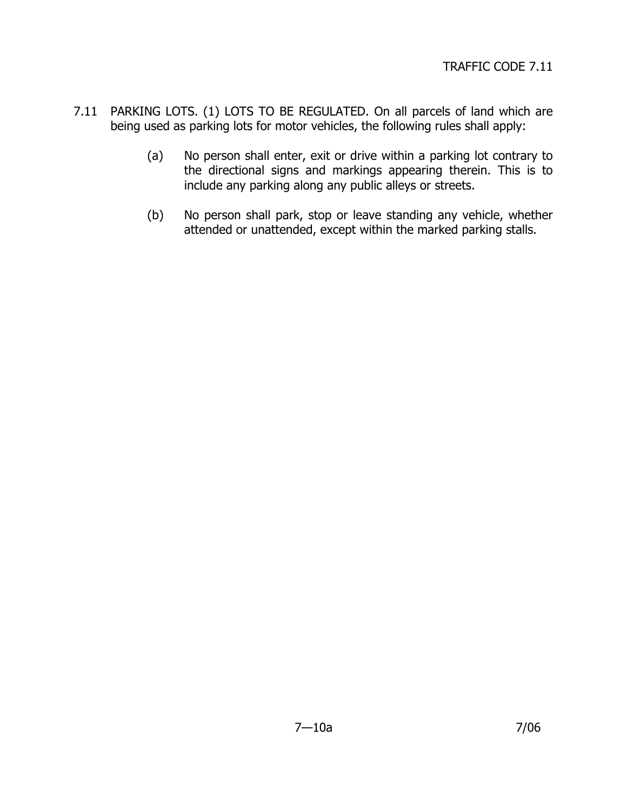- <span id="page-15-0"></span>7.11 PARKING LOTS. (1) LOTS TO BE REGULATED. On all parcels of land which are being used as parking lots for motor vehicles, the following rules shall apply:
	- (a) No person shall enter, exit or drive within a parking lot contrary to the directional signs and markings appearing therein. This is to include any parking along any public alleys or streets.
	- (b) No person shall park, stop or leave standing any vehicle, whether attended or unattended, except within the marked parking stalls.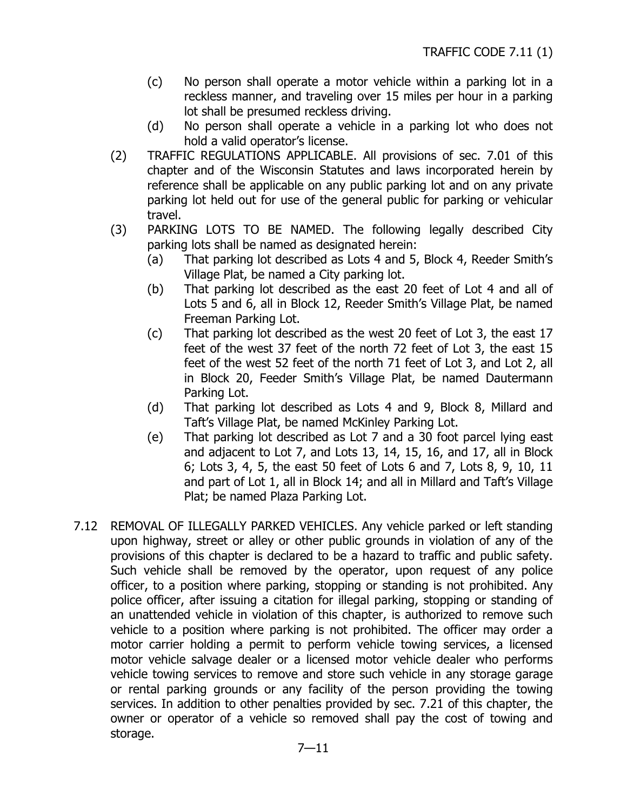- <span id="page-16-0"></span>(c) No person shall operate a motor vehicle within a parking lot in a reckless manner, and traveling over 15 miles per hour in a parking lot shall be presumed reckless driving.
- (d) No person shall operate a vehicle in a parking lot who does not hold a valid operator's license.
- (2) TRAFFIC REGULATIONS APPLICABLE. All provisions of sec. 7.01 of this chapter and of the Wisconsin Statutes and laws incorporated herein by reference shall be applicable on any public parking lot and on any private parking lot held out for use of the general public for parking or vehicular travel.
- (3) PARKING LOTS TO BE NAMED. The following legally described City parking lots shall be named as designated herein:
	- (a) That parking lot described as Lots 4 and 5, Block 4, Reeder Smith's Village Plat, be named a City parking lot.
	- (b) That parking lot described as the east 20 feet of Lot 4 and all of Lots 5 and 6, all in Block 12, Reeder Smith's Village Plat, be named Freeman Parking Lot.
	- (c) That parking lot described as the west 20 feet of Lot 3, the east 17 feet of the west 37 feet of the north 72 feet of Lot 3, the east 15 feet of the west 52 feet of the north 71 feet of Lot 3, and Lot 2, all in Block 20, Feeder Smith's Village Plat, be named Dautermann Parking Lot.
	- (d) That parking lot described as Lots 4 and 9, Block 8, Millard and Taft's Village Plat, be named McKinley Parking Lot.
	- (e) That parking lot described as Lot 7 and a 30 foot parcel lying east and adjacent to Lot 7, and Lots 13, 14, 15, 16, and 17, all in Block 6; Lots 3, 4, 5, the east 50 feet of Lots 6 and 7, Lots 8, 9, 10, 11 and part of Lot 1, all in Block 14; and all in Millard and Taft's Village Plat; be named Plaza Parking Lot.
- 7.12 REMOVAL OF ILLEGALLY PARKED VEHICLES. Any vehicle parked or left standing upon highway, street or alley or other public grounds in violation of any of the provisions of this chapter is declared to be a hazard to traffic and public safety. Such vehicle shall be removed by the operator, upon request of any police officer, to a position where parking, stopping or standing is not prohibited. Any police officer, after issuing a citation for illegal parking, stopping or standing of an unattended vehicle in violation of this chapter, is authorized to remove such vehicle to a position where parking is not prohibited. The officer may order a motor carrier holding a permit to perform vehicle towing services, a licensed motor vehicle salvage dealer or a licensed motor vehicle dealer who performs vehicle towing services to remove and store such vehicle in any storage garage or rental parking grounds or any facility of the person providing the towing services. In addition to other penalties provided by sec. 7.21 of this chapter, the owner or operator of a vehicle so removed shall pay the cost of towing and storage.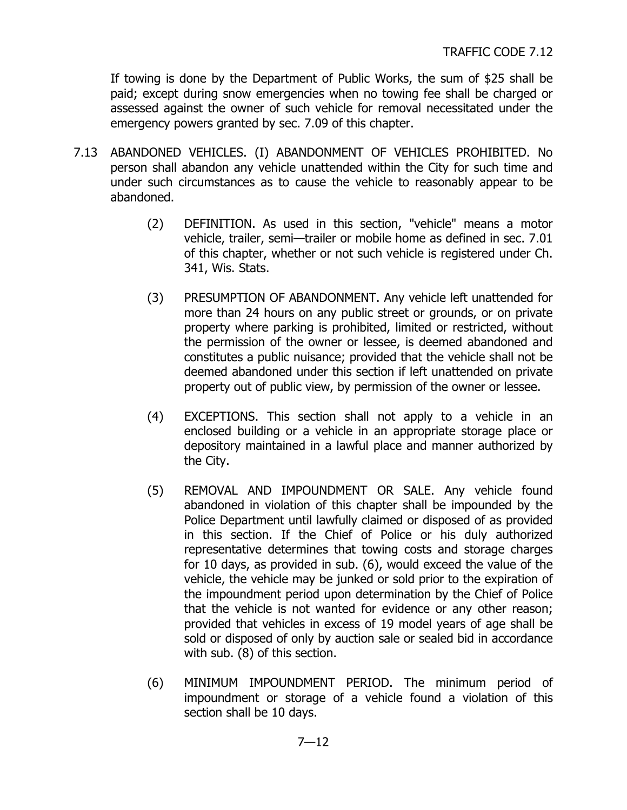<span id="page-17-0"></span>If towing is done by the Department of Public Works, the sum of \$25 shall be paid; except during snow emergencies when no towing fee shall be charged or assessed against the owner of such vehicle for removal necessitated under the emergency powers granted by sec. 7.09 of this chapter.

- 7.13 ABANDONED VEHICLES. (I) ABANDONMENT OF VEHICLES PROHIBITED. No person shall abandon any vehicle unattended within the City for such time and under such circumstances as to cause the vehicle to reasonably appear to be abandoned.
	- (2) DEFINITION. As used in this section, "vehicle" means a motor vehicle, trailer, semi—trailer or mobile home as defined in sec. 7.01 of this chapter, whether or not such vehicle is registered under Ch. 341, Wis. Stats.
	- (3) PRESUMPTION OF ABANDONMENT. Any vehicle left unattended for more than 24 hours on any public street or grounds, or on private property where parking is prohibited, limited or restricted, without the permission of the owner or lessee, is deemed abandoned and constitutes a public nuisance; provided that the vehicle shall not be deemed abandoned under this section if left unattended on private property out of public view, by permission of the owner or lessee.
	- (4) EXCEPTIONS. This section shall not apply to a vehicle in an enclosed building or a vehicle in an appropriate storage place or depository maintained in a lawful place and manner authorized by the City.
	- (5) REMOVAL AND IMPOUNDMENT OR SALE. Any vehicle found abandoned in violation of this chapter shall be impounded by the Police Department until lawfully claimed or disposed of as provided in this section. If the Chief of Police or his duly authorized representative determines that towing costs and storage charges for 10 days, as provided in sub. (6), would exceed the value of the vehicle, the vehicle may be junked or sold prior to the expiration of the impoundment period upon determination by the Chief of Police that the vehicle is not wanted for evidence or any other reason; provided that vehicles in excess of 19 model years of age shall be sold or disposed of only by auction sale or sealed bid in accordance with sub. (8) of this section.
	- (6) MINIMUM IMPOUNDMENT PERIOD. The minimum period of impoundment or storage of a vehicle found a violation of this section shall be 10 days.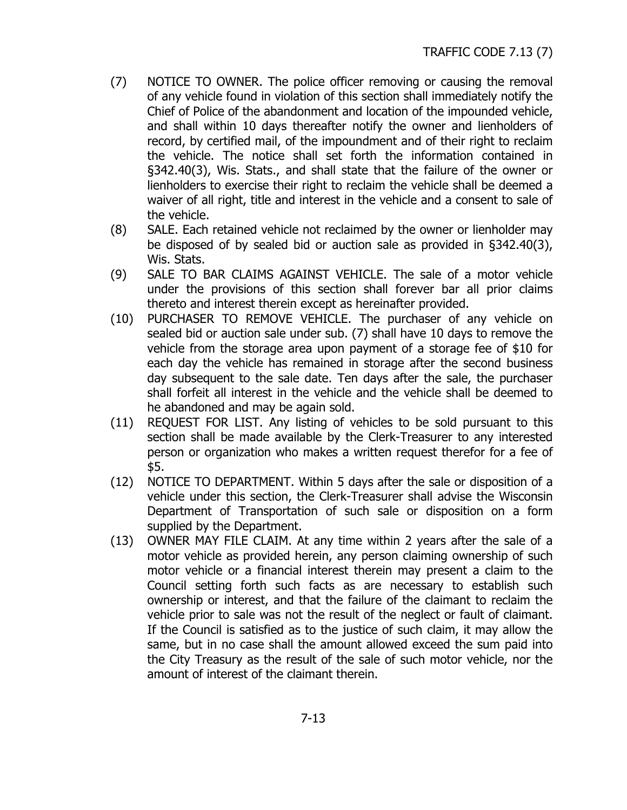- (7) NOTICE TO OWNER. The police officer removing or causing the removal of any vehicle found in violation of this section shall immediately notify the Chief of Police of the abandonment and location of the impounded vehicle, and shall within 10 days thereafter notify the owner and lienholders of record, by certified mail, of the impoundment and of their right to reclaim the vehicle. The notice shall set forth the information contained in §342.40(3), Wis. Stats., and shall state that the failure of the owner or lienholders to exercise their right to reclaim the vehicle shall be deemed a waiver of all right, title and interest in the vehicle and a consent to sale of the vehicle.
- (8) SALE. Each retained vehicle not reclaimed by the owner or lienholder may be disposed of by sealed bid or auction sale as provided in §342.40(3), Wis. Stats.
- (9) SALE TO BAR CLAIMS AGAINST VEHICLE. The sale of a motor vehicle under the provisions of this section shall forever bar all prior claims thereto and interest therein except as hereinafter provided.
- (10) PURCHASER TO REMOVE VEHICLE. The purchaser of any vehicle on sealed bid or auction sale under sub. (7) shall have 10 days to remove the vehicle from the storage area upon payment of a storage fee of \$10 for each day the vehicle has remained in storage after the second business day subsequent to the sale date. Ten days after the sale, the purchaser shall forfeit all interest in the vehicle and the vehicle shall be deemed to he abandoned and may be again sold.
- (11) REQUEST FOR LIST. Any listing of vehicles to be sold pursuant to this section shall be made available by the Clerk-Treasurer to any interested person or organization who makes a written request therefor for a fee of \$5.
- (12) NOTICE TO DEPARTMENT. Within 5 days after the sale or disposition of a vehicle under this section, the Clerk-Treasurer shall advise the Wisconsin Department of Transportation of such sale or disposition on a form supplied by the Department.
- (13) OWNER MAY FILE CLAIM. At any time within 2 years after the sale of a motor vehicle as provided herein, any person claiming ownership of such motor vehicle or a financial interest therein may present a claim to the Council setting forth such facts as are necessary to establish such ownership or interest, and that the failure of the claimant to reclaim the vehicle prior to sale was not the result of the neglect or fault of claimant. If the Council is satisfied as to the justice of such claim, it may allow the same, but in no case shall the amount allowed exceed the sum paid into the City Treasury as the result of the sale of such motor vehicle, nor the amount of interest of the claimant therein.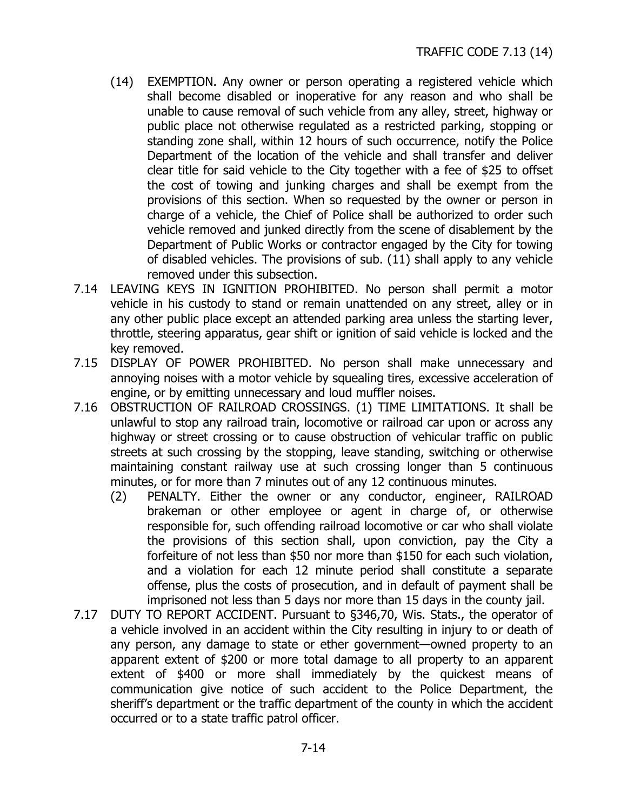- <span id="page-19-0"></span>(14) EXEMPTION. Any owner or person operating a registered vehicle which shall become disabled or inoperative for any reason and who shall be unable to cause removal of such vehicle from any alley, street, highway or public place not otherwise regulated as a restricted parking, stopping or standing zone shall, within 12 hours of such occurrence, notify the Police Department of the location of the vehicle and shall transfer and deliver clear title for said vehicle to the City together with a fee of \$25 to offset the cost of towing and junking charges and shall be exempt from the provisions of this section. When so requested by the owner or person in charge of a vehicle, the Chief of Police shall be authorized to order such vehicle removed and junked directly from the scene of disablement by the Department of Public Works or contractor engaged by the City for towing of disabled vehicles. The provisions of sub. (11) shall apply to any vehicle removed under this subsection.
- 7.14 LEAVING KEYS IN IGNITION PROHIBITED. No person shall permit a motor vehicle in his custody to stand or remain unattended on any street, alley or in any other public place except an attended parking area unless the starting lever, throttle, steering apparatus, gear shift or ignition of said vehicle is locked and the key removed.
- 7.15 DISPLAY OF POWER PROHIBITED. No person shall make unnecessary and annoying noises with a motor vehicle by squealing tires, excessive acceleration of engine, or by emitting unnecessary and loud muffler noises.
- 7.16 OBSTRUCTION OF RAILROAD CROSSINGS. (1) TIME LIMITATIONS. It shall be unlawful to stop any railroad train, locomotive or railroad car upon or across any highway or street crossing or to cause obstruction of vehicular traffic on public streets at such crossing by the stopping, leave standing, switching or otherwise maintaining constant railway use at such crossing longer than 5 continuous minutes, or for more than 7 minutes out of any 12 continuous minutes.
	- (2) PENALTY. Either the owner or any conductor, engineer, RAILROAD brakeman or other employee or agent in charge of, or otherwise responsible for, such offending railroad locomotive or car who shall violate the provisions of this section shall, upon conviction, pay the City a forfeiture of not less than \$50 nor more than \$150 for each such violation, and a violation for each 12 minute period shall constitute a separate offense, plus the costs of prosecution, and in default of payment shall be imprisoned not less than 5 days nor more than 15 days in the county jail.
- 7.17 DUTY TO REPORT ACCIDENT. Pursuant to §346,70, Wis. Stats., the operator of a vehicle involved in an accident within the City resulting in injury to or death of any person, any damage to state or ether government—owned property to an apparent extent of \$200 or more total damage to all property to an apparent extent of \$400 or more shall immediately by the quickest means of communication give notice of such accident to the Police Department, the sheriff's department or the traffic department of the county in which the accident occurred or to a state traffic patrol officer.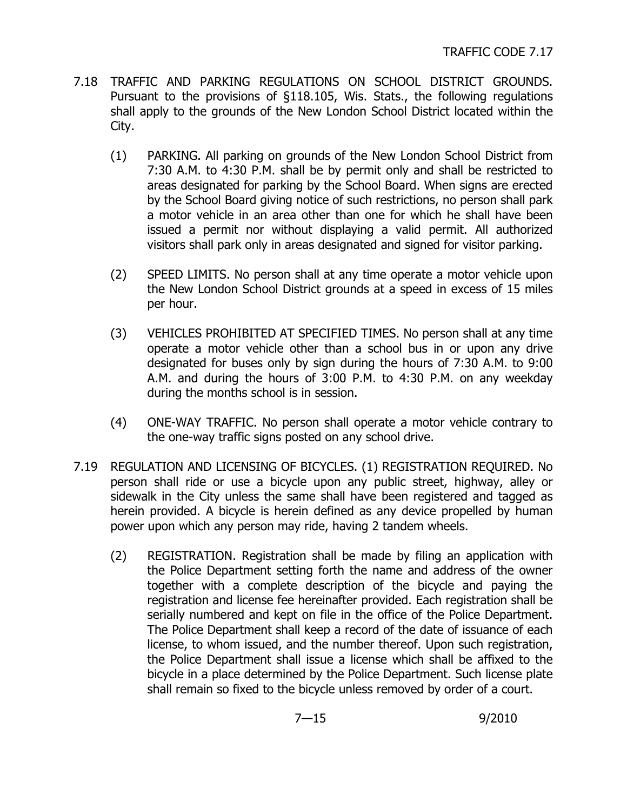- <span id="page-20-0"></span>7.18 TRAFFIC AND PARKING REGULATIONS ON SCHOOL DISTRICT GROUNDS. Pursuant to the provisions of §118.105, Wis. Stats., the following regulations shall apply to the grounds of the New London School District located within the City.
	- (1) PARKING. All parking on grounds of the New London School District from 7:30 A.M. to 4:30 P.M. shall be by permit only and shall be restricted to areas designated for parking by the School Board. When signs are erected by the School Board giving notice of such restrictions, no person shall park a motor vehicle in an area other than one for which he shall have been issued a permit nor without displaying a valid permit. All authorized visitors shall park only in areas designated and signed for visitor parking.
	- (2) SPEED LIMITS. No person shall at any time operate a motor vehicle upon the New London School District grounds at a speed in excess of 15 miles per hour.
	- (3) VEHICLES PROHIBITED AT SPECIFIED TIMES. No person shall at any time operate a motor vehicle other than a school bus in or upon any drive designated for buses only by sign during the hours of 7:30 A.M. to 9:00 A.M. and during the hours of 3:00 P.M. to 4:30 P.M. on any weekday during the months school is in session.
	- (4) ONE-WAY TRAFFIC. No person shall operate a motor vehicle contrary to the one-way traffic signs posted on any school drive.
- 7.19 REGULATION AND LICENSING OF BICYCLES. (1) REGISTRATION REQUIRED. No person shall ride or use a bicycle upon any public street, highway, alley or sidewalk in the City unless the same shall have been registered and tagged as herein provided. A bicycle is herein defined as any device propelled by human power upon which any person may ride, having 2 tandem wheels.
	- (2) REGISTRATION. Registration shall be made by filing an application with the Police Department setting forth the name and address of the owner together with a complete description of the bicycle and paying the registration and license fee hereinafter provided. Each registration shall be serially numbered and kept on file in the office of the Police Department. The Police Department shall keep a record of the date of issuance of each license, to whom issued, and the number thereof. Upon such registration, the Police Department shall issue a license which shall be affixed to the bicycle in a place determined by the Police Department. Such license plate shall remain so fixed to the bicycle unless removed by order of a court.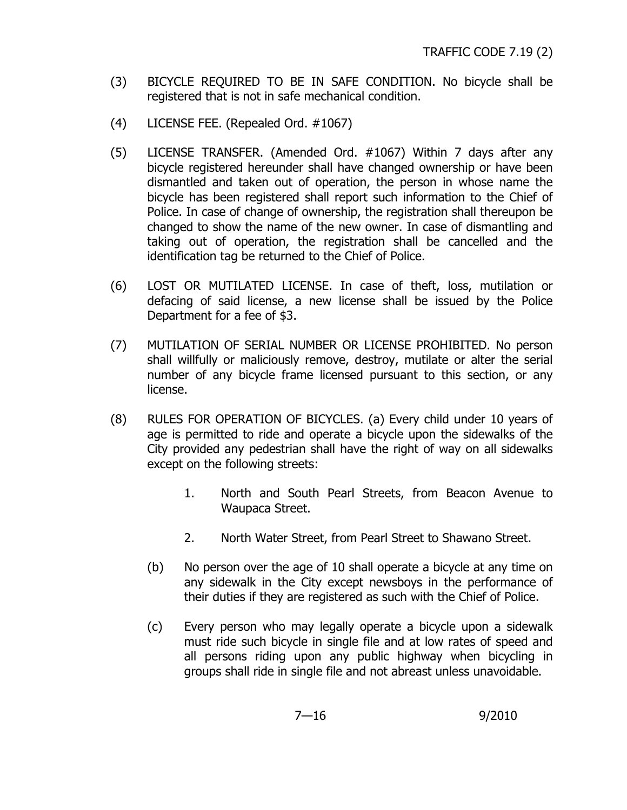- (3) BICYCLE REQUIRED TO BE IN SAFE CONDITION. No bicycle shall be registered that is not in safe mechanical condition.
- (4) LICENSE FEE. (Repealed Ord. #1067)
- (5) LICENSE TRANSFER. (Amended Ord. #1067) Within 7 days after any bicycle registered hereunder shall have changed ownership or have been dismantled and taken out of operation, the person in whose name the bicycle has been registered shall report such information to the Chief of Police. In case of change of ownership, the registration shall thereupon be changed to show the name of the new owner. In case of dismantling and taking out of operation, the registration shall be cancelled and the identification tag be returned to the Chief of Police.
- (6) LOST OR MUTILATED LICENSE. In case of theft, loss, mutilation or defacing of said license, a new license shall be issued by the Police Department for a fee of \$3.
- (7) MUTILATION OF SERIAL NUMBER OR LICENSE PROHIBITED. No person shall willfully or maliciously remove, destroy, mutilate or alter the serial number of any bicycle frame licensed pursuant to this section, or any license.
- (8) RULES FOR OPERATION OF BICYCLES. (a) Every child under 10 years of age is permitted to ride and operate a bicycle upon the sidewalks of the City provided any pedestrian shall have the right of way on all sidewalks except on the following streets:
	- 1. North and South Pearl Streets, from Beacon Avenue to Waupaca Street.
	- 2. North Water Street, from Pearl Street to Shawano Street.
	- (b) No person over the age of 10 shall operate a bicycle at any time on any sidewalk in the City except newsboys in the performance of their duties if they are registered as such with the Chief of Police.
	- (c) Every person who may legally operate a bicycle upon a sidewalk must ride such bicycle in single file and at low rates of speed and all persons riding upon any public highway when bicycling in groups shall ride in single file and not abreast unless unavoidable.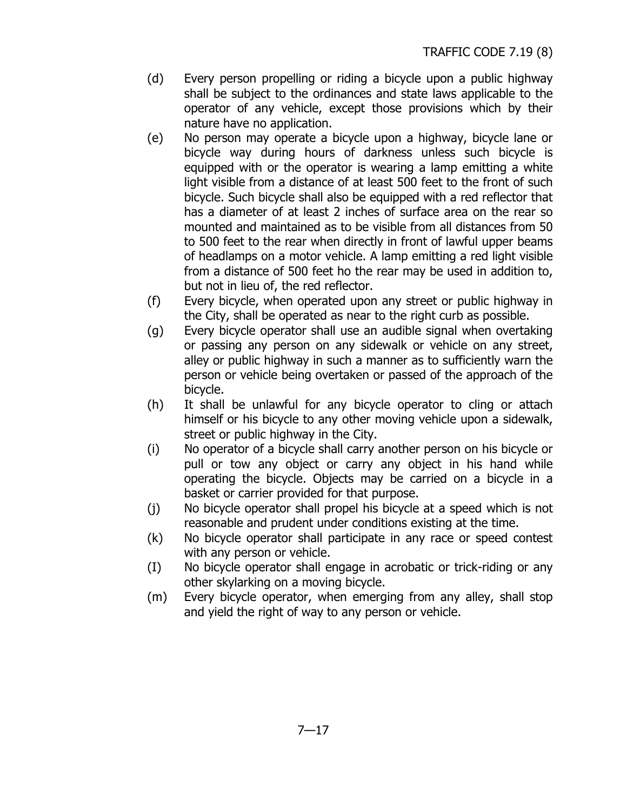- (d) Every person propelling or riding a bicycle upon a public highway shall be subject to the ordinances and state laws applicable to the operator of any vehicle, except those provisions which by their nature have no application.
- (e) No person may operate a bicycle upon a highway, bicycle lane or bicycle way during hours of darkness unless such bicycle is equipped with or the operator is wearing a lamp emitting a white light visible from a distance of at least 500 feet to the front of such bicycle. Such bicycle shall also be equipped with a red reflector that has a diameter of at least 2 inches of surface area on the rear so mounted and maintained as to be visible from all distances from 50 to 500 feet to the rear when directly in front of lawful upper beams of headlamps on a motor vehicle. A lamp emitting a red light visible from a distance of 500 feet ho the rear may be used in addition to, but not in lieu of, the red reflector.
- (f) Every bicycle, when operated upon any street or public highway in the City, shall be operated as near to the right curb as possible.
- (g) Every bicycle operator shall use an audible signal when overtaking or passing any person on any sidewalk or vehicle on any street, alley or public highway in such a manner as to sufficiently warn the person or vehicle being overtaken or passed of the approach of the bicycle.
- (h) It shall be unlawful for any bicycle operator to cling or attach himself or his bicycle to any other moving vehicle upon a sidewalk, street or public highway in the City.
- (i) No operator of a bicycle shall carry another person on his bicycle or pull or tow any object or carry any object in his hand while operating the bicycle. Objects may be carried on a bicycle in a basket or carrier provided for that purpose.
- (j) No bicycle operator shall propel his bicycle at a speed which is not reasonable and prudent under conditions existing at the time.
- (k) No bicycle operator shall participate in any race or speed contest with any person or vehicle.
- (I) No bicycle operator shall engage in acrobatic or trick-riding or any other skylarking on a moving bicycle.
- (m) Every bicycle operator, when emerging from any alley, shall stop and yield the right of way to any person or vehicle.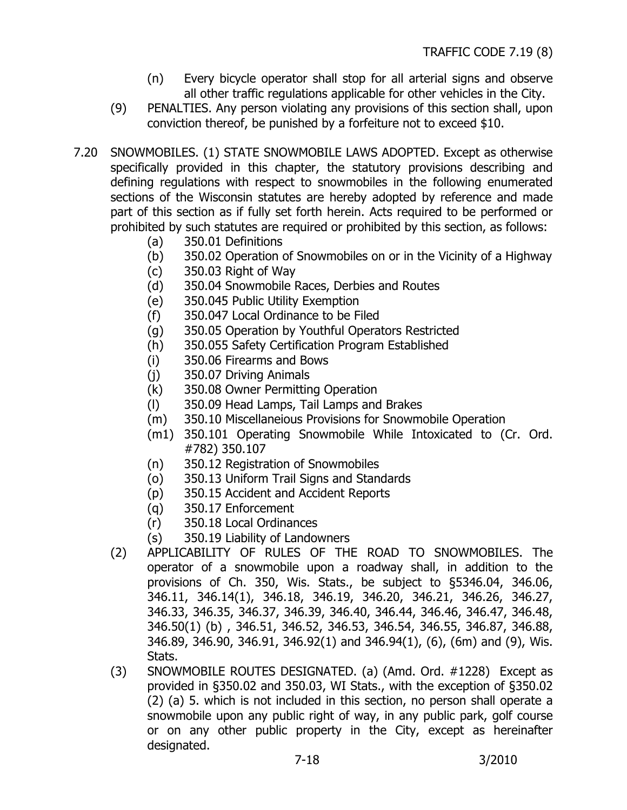- (n) Every bicycle operator shall stop for all arterial signs and observe all other traffic regulations applicable for other vehicles in the City.
- <span id="page-23-0"></span>(9) PENALTIES. Any person violating any provisions of this section shall, upon conviction thereof, be punished by a forfeiture not to exceed \$10.
- 7.20 SNOWMOBILES. (1) STATE SNOWMOBILE LAWS ADOPTED. Except as otherwise specifically provided in this chapter, the statutory provisions describing and defining regulations with respect to snowmobiles in the following enumerated sections of the Wisconsin statutes are hereby adopted by reference and made part of this section as if fully set forth herein. Acts required to be performed or prohibited by such statutes are required or prohibited by this section, as follows:
	- (a) 350.01 Definitions
	- (b) 350.02 Operation of Snowmobiles on or in the Vicinity of a Highway
	- (c) 350.03 Right of Way
	- (d) 350.04 Snowmobile Races, Derbies and Routes
	- (e) 350.045 Public Utility Exemption
	- (f) 350.047 Local Ordinance to be Filed
	- (g) 350.05 Operation by Youthful Operators Restricted
	- (h) 350.055 Safety Certification Program Established
	- (i) 350.06 Firearms and Bows
	- (j) 350.07 Driving Animals
	- (k) 350.08 Owner Permitting Operation
	- (l) 350.09 Head Lamps, Tail Lamps and Brakes
	- (m) 350.10 Miscellaneious Provisions for Snowmobile Operation
	- (m1) 350.101 Operating Snowmobile While Intoxicated to (Cr. Ord. #782) 350.107
	- (n) 350.12 Registration of Snowmobiles
	- (o) 350.13 Uniform Trail Signs and Standards
	- (p) 350.15 Accident and Accident Reports
	- (q) 350.17 Enforcement
	- (r) 350.18 Local Ordinances
	- (s) 350.19 Liability of Landowners
	- (2) APPLICABILITY OF RULES OF THE ROAD TO SNOWMOBILES. The operator of a snowmobile upon a roadway shall, in addition to the provisions of Ch. 350, Wis. Stats., be subject to §5346.04, 346.06, 346.11, 346.14(1), 346.18, 346.19, 346.20, 346.21, 346.26, 346.27, 346.33, 346.35, 346.37, 346.39, 346.40, 346.44, 346.46, 346.47, 346.48, 346.50(1) (b) , 346.51, 346.52, 346.53, 346.54, 346.55, 346.87, 346.88, 346.89, 346.90, 346.91, 346.92(1) and 346.94(1), (6), (6m) and (9), Wis. Stats.
	- (3) SNOWMOBILE ROUTES DESIGNATED. (a) (Amd. Ord. #1228) Except as provided in §350.02 and 350.03, WI Stats., with the exception of §350.02 (2) (a) 5. which is not included in this section, no person shall operate a snowmobile upon any public right of way, in any public park, golf course or on any other public property in the City, except as hereinafter designated.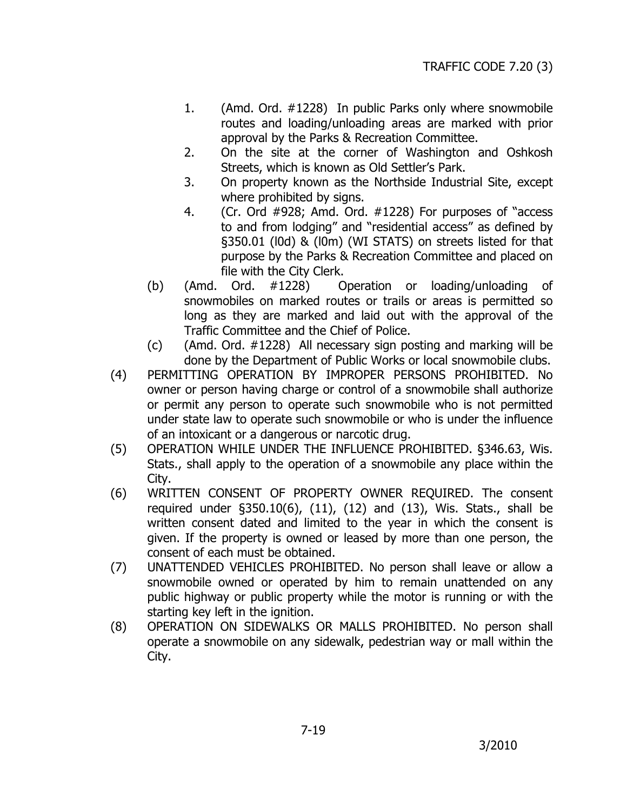- 1. (Amd. Ord. #1228) In public Parks only where snowmobile routes and loading/unloading areas are marked with prior approval by the Parks & Recreation Committee.
- 2. On the site at the corner of Washington and Oshkosh Streets, which is known as Old Settler's Park.
- 3. On property known as the Northside Industrial Site, except where prohibited by signs.
- 4. (Cr. Ord #928; Amd. Ord. #1228) For purposes of "access to and from lodging" and "residential access" as defined by §350.01 (l0d) & (l0m) (WI STATS) on streets listed for that purpose by the Parks & Recreation Committee and placed on file with the City Clerk.
- (b) (Amd. Ord. #1228) Operation or loading/unloading of snowmobiles on marked routes or trails or areas is permitted so long as they are marked and laid out with the approval of the Traffic Committee and the Chief of Police.
- (c) (Amd. Ord. #1228) All necessary sign posting and marking will be done by the Department of Public Works or local snowmobile clubs.
- (4) PERMITTING OPERATION BY IMPROPER PERSONS PROHIBITED. No owner or person having charge or control of a snowmobile shall authorize or permit any person to operate such snowmobile who is not permitted under state law to operate such snowmobile or who is under the influence of an intoxicant or a dangerous or narcotic drug.
- (5) OPERATION WHILE UNDER THE INFLUENCE PROHIBITED. §346.63, Wis. Stats., shall apply to the operation of a snowmobile any place within the City.
- (6) WRITTEN CONSENT OF PROPERTY OWNER REQUIRED. The consent required under §350.10(6), (11), (12) and (13), Wis. Stats., shall be written consent dated and limited to the year in which the consent is given. If the property is owned or leased by more than one person, the consent of each must be obtained.
- (7) UNATTENDED VEHICLES PROHIBITED. No person shall leave or allow a snowmobile owned or operated by him to remain unattended on any public highway or public property while the motor is running or with the starting key left in the ignition.
- (8) OPERATION ON SIDEWALKS OR MALLS PROHIBITED. No person shall operate a snowmobile on any sidewalk, pedestrian way or mall within the City.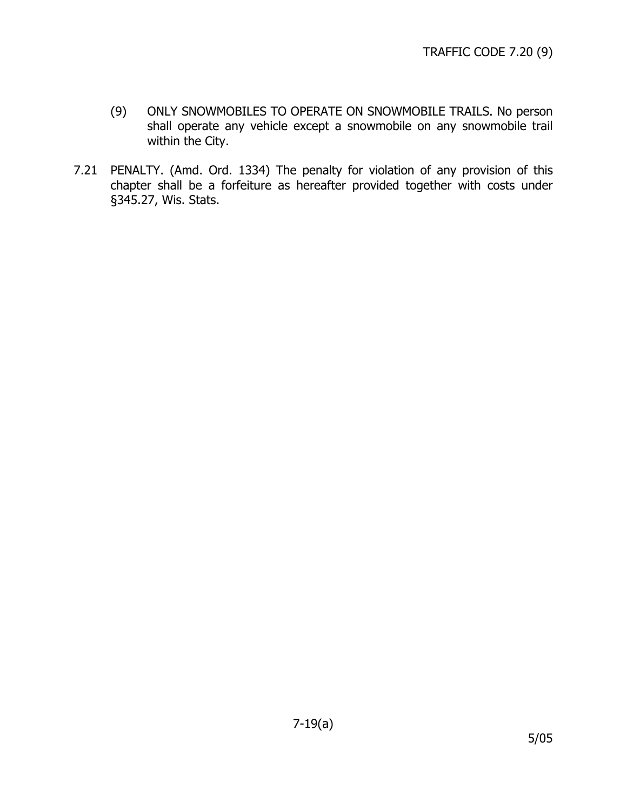- <span id="page-25-0"></span>(9) ONLY SNOWMOBILES TO OPERATE ON SNOWMOBILE TRAILS. No person shall operate any vehicle except a snowmobile on any snowmobile trail within the City.
- 7.21 PENALTY. (Amd. Ord. 1334) The penalty for violation of any provision of this chapter shall be a forfeiture as hereafter provided together with costs under §345.27, Wis. Stats.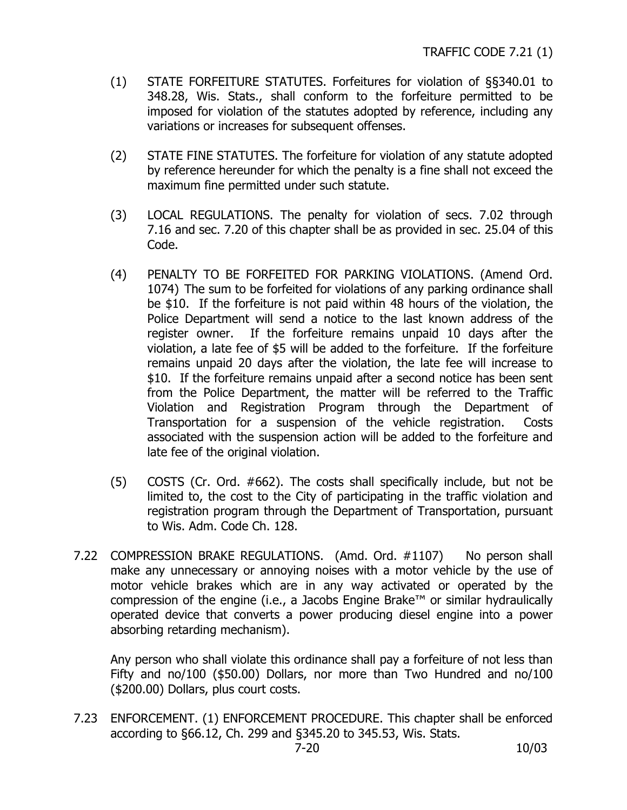- <span id="page-26-0"></span>(1) STATE FORFEITURE STATUTES. Forfeitures for violation of §§340.01 to 348.28, Wis. Stats., shall conform to the forfeiture permitted to be imposed for violation of the statutes adopted by reference, including any variations or increases for subsequent offenses.
- (2) STATE FINE STATUTES. The forfeiture for violation of any statute adopted by reference hereunder for which the penalty is a fine shall not exceed the maximum fine permitted under such statute.
- (3) LOCAL REGULATIONS. The penalty for violation of secs. 7.02 through 7.16 and sec. 7.20 of this chapter shall be as provided in sec. 25.04 of this Code.
- (4) PENALTY TO BE FORFEITED FOR PARKING VIOLATIONS. (Amend Ord. 1074) The sum to be forfeited for violations of any parking ordinance shall be \$10. If the forfeiture is not paid within 48 hours of the violation, the Police Department will send a notice to the last known address of the register owner. If the forfeiture remains unpaid 10 days after the violation, a late fee of \$5 will be added to the forfeiture. If the forfeiture remains unpaid 20 days after the violation, the late fee will increase to \$10. If the forfeiture remains unpaid after a second notice has been sent from the Police Department, the matter will be referred to the Traffic Violation and Registration Program through the Department of Transportation for a suspension of the vehicle registration. Costs associated with the suspension action will be added to the forfeiture and late fee of the original violation.
- (5) COSTS (Cr. Ord. #662). The costs shall specifically include, but not be limited to, the cost to the City of participating in the traffic violation and registration program through the Department of Transportation, pursuant to Wis. Adm. Code Ch. 128.
- 7.22 COMPRESSION BRAKE REGULATIONS. (Amd. Ord. #1107) No person shall make any unnecessary or annoying noises with a motor vehicle by the use of motor vehicle brakes which are in any way activated or operated by the compression of the engine (i.e., a Jacobs Engine Brake™ or similar hydraulically operated device that converts a power producing diesel engine into a power absorbing retarding mechanism).

Any person who shall violate this ordinance shall pay a forfeiture of not less than Fifty and no/100 (\$50.00) Dollars, nor more than Two Hundred and no/100 (\$200.00) Dollars, plus court costs.

7.23 ENFORCEMENT. (1) ENFORCEMENT PROCEDURE. This chapter shall be enforced according to §66.12, Ch. 299 and §345.20 to 345.53, Wis. Stats.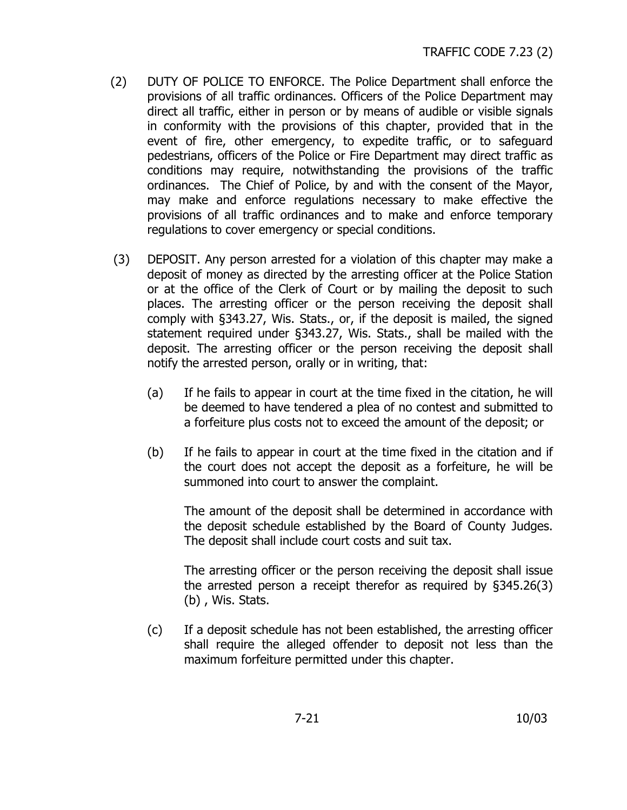- (2) DUTY OF POLICE TO ENFORCE. The Police Department shall enforce the provisions of all traffic ordinances. Officers of the Police Department may direct all traffic, either in person or by means of audible or visible signals in conformity with the provisions of this chapter, provided that in the event of fire, other emergency, to expedite traffic, or to safeguard pedestrians, officers of the Police or Fire Department may direct traffic as conditions may require, notwithstanding the provisions of the traffic ordinances. The Chief of Police, by and with the consent of the Mayor, may make and enforce regulations necessary to make effective the provisions of all traffic ordinances and to make and enforce temporary regulations to cover emergency or special conditions.
- (3) DEPOSIT. Any person arrested for a violation of this chapter may make a deposit of money as directed by the arresting officer at the Police Station or at the office of the Clerk of Court or by mailing the deposit to such places. The arresting officer or the person receiving the deposit shall comply with §343.27, Wis. Stats., or, if the deposit is mailed, the signed statement required under §343.27, Wis. Stats., shall be mailed with the deposit. The arresting officer or the person receiving the deposit shall notify the arrested person, orally or in writing, that:
	- (a) If he fails to appear in court at the time fixed in the citation, he will be deemed to have tendered a plea of no contest and submitted to a forfeiture plus costs not to exceed the amount of the deposit; or
	- (b) If he fails to appear in court at the time fixed in the citation and if the court does not accept the deposit as a forfeiture, he will be summoned into court to answer the complaint.

The amount of the deposit shall be determined in accordance with the deposit schedule established by the Board of County Judges. The deposit shall include court costs and suit tax.

The arresting officer or the person receiving the deposit shall issue the arrested person a receipt therefor as required by §345.26(3) (b) , Wis. Stats.

(c) If a deposit schedule has not been established, the arresting officer shall require the alleged offender to deposit not less than the maximum forfeiture permitted under this chapter.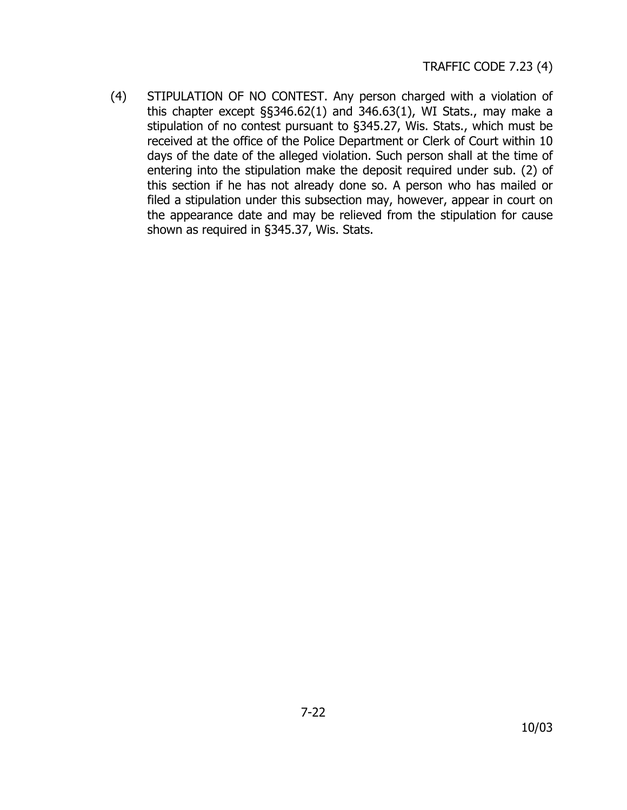(4) STIPULATION OF NO CONTEST. Any person charged with a violation of this chapter except §§346.62(1) and 346.63(1), WI Stats., may make a stipulation of no contest pursuant to §345.27, Wis. Stats., which must be received at the office of the Police Department or Clerk of Court within 10 days of the date of the alleged violation. Such person shall at the time of entering into the stipulation make the deposit required under sub. (2) of this section if he has not already done so. A person who has mailed or filed a stipulation under this subsection may, however, appear in court on the appearance date and may be relieved from the stipulation for cause shown as required in §345.37, Wis. Stats.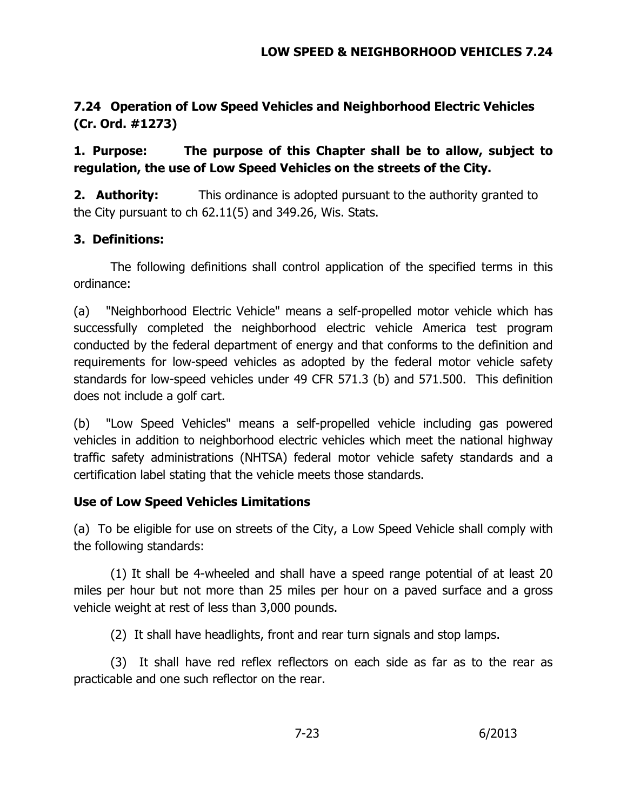# <span id="page-29-0"></span>**7.24 Operation of Low Speed Vehicles and Neighborhood Electric Vehicles (Cr. Ord. #1273)**

# **1. Purpose: The purpose of this Chapter shall be to allow, subject to regulation, the use of Low Speed Vehicles on the streets of the City.**

**2. Authority:** This ordinance is adopted pursuant to the authority granted to the City pursuant to ch 62.11(5) and 349.26, Wis. Stats.

## **3. Definitions:**

 The following definitions shall control application of the specified terms in this ordinance:

(a) "Neighborhood Electric Vehicle" means a self-propelled motor vehicle which has successfully completed the neighborhood electric vehicle America test program conducted by the federal department of energy and that conforms to the definition and requirements for low-speed vehicles as adopted by the federal motor vehicle safety standards for low-speed vehicles under 49 CFR 571.3 (b) and 571.500. This definition does not include a golf cart.

(b) "Low Speed Vehicles" means a self-propelled vehicle including gas powered vehicles in addition to neighborhood electric vehicles which meet the national highway traffic safety administrations (NHTSA) federal motor vehicle safety standards and a certification label stating that the vehicle meets those standards.

# **Use of Low Speed Vehicles Limitations**

(a) To be eligible for use on streets of the City, a Low Speed Vehicle shall comply with the following standards:

 (1) It shall be 4-wheeled and shall have a speed range potential of at least 20 miles per hour but not more than 25 miles per hour on a paved surface and a gross vehicle weight at rest of less than 3,000 pounds.

(2) It shall have headlights, front and rear turn signals and stop lamps.

 (3) It shall have red reflex reflectors on each side as far as to the rear as practicable and one such reflector on the rear.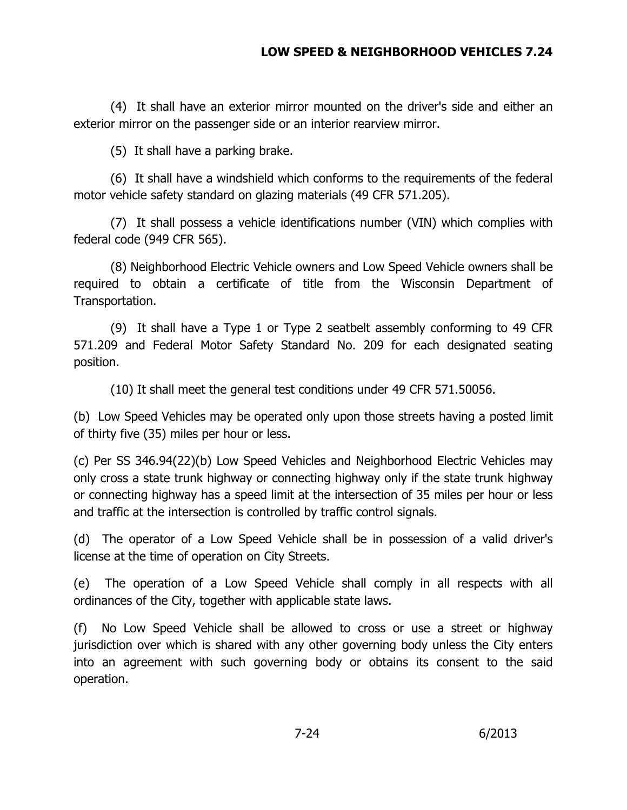## **LOW SPEED & NEIGHBORHOOD VEHICLES 7.24**

(4) It shall have an exterior mirror mounted on the driver's side and either an exterior mirror on the passenger side or an interior rearview mirror.

(5) It shall have a parking brake.

 (6) It shall have a windshield which conforms to the requirements of the federal motor vehicle safety standard on glazing materials (49 CFR 571.205).

 (7) It shall possess a vehicle identifications number (VIN) which complies with federal code (949 CFR 565).

 (8) Neighborhood Electric Vehicle owners and Low Speed Vehicle owners shall be required to obtain a certificate of title from the Wisconsin Department of Transportation.

 (9) It shall have a Type 1 or Type 2 seatbelt assembly conforming to 49 CFR 571.209 and Federal Motor Safety Standard No. 209 for each designated seating position.

(10) It shall meet the general test conditions under 49 CFR 571.50056.

(b) Low Speed Vehicles may be operated only upon those streets having a posted limit of thirty five (35) miles per hour or less.

(c) Per SS 346.94(22)(b) Low Speed Vehicles and Neighborhood Electric Vehicles may only cross a state trunk highway or connecting highway only if the state trunk highway or connecting highway has a speed limit at the intersection of 35 miles per hour or less and traffic at the intersection is controlled by traffic control signals.

(d) The operator of a Low Speed Vehicle shall be in possession of a valid driver's license at the time of operation on City Streets.

(e) The operation of a Low Speed Vehicle shall comply in all respects with all ordinances of the City, together with applicable state laws.

(f) No Low Speed Vehicle shall be allowed to cross or use a street or highway jurisdiction over which is shared with any other governing body unless the City enters into an agreement with such governing body or obtains its consent to the said operation.